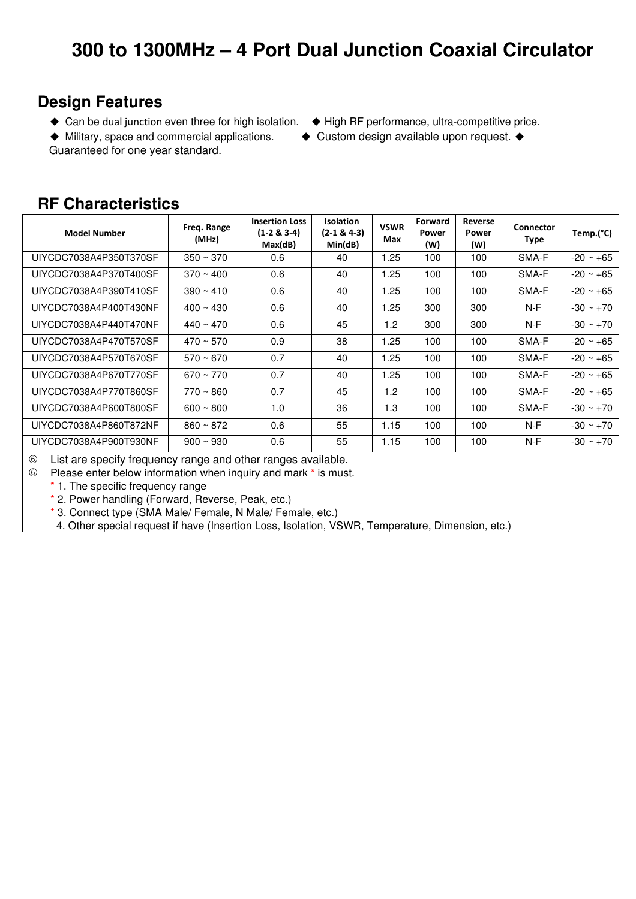## **Design Features**

- ◆ Can be dual junction even three for high isolation. ◆ High RF performance, ultra-competitive price.
	-
- ◆ Military, space and commercial applications. <br>◆ Custom design available upon request. ◆
- Guaranteed for one year standard.

## **RF Characteristics**

| <b>Model Number</b>    | Freq. Range<br>(MHz) | <b>Insertion Loss</b><br>$(1-2 & 8 & 3-4)$<br>Max(dB) | <b>Isolation</b><br>$(2-1 & 8 & 4-3)$<br>Min(dB) | <b>VSWR</b><br>Max | Forward<br>Power<br>(W) | <b>Reverse</b><br>Power<br>(W) | <b>Connector</b><br>Type | Temp.(°C)      |
|------------------------|----------------------|-------------------------------------------------------|--------------------------------------------------|--------------------|-------------------------|--------------------------------|--------------------------|----------------|
| UIYCDC7038A4P350T370SF | $350 \sim 370$       | 0.6                                                   | 40                                               | 1.25               | 100                     | 100                            | SMA-F                    | $-20 - 65$     |
| UIYCDC7038A4P370T400SF | $370 \sim 400$       | 0.6                                                   | 40                                               | 1.25               | 100                     | 100                            | SMA-F                    | $-20 - +65$    |
| UIYCDC7038A4P390T410SF | $390 \sim 410$       | 0.6                                                   | 40                                               | 1.25               | 100                     | 100                            | SMA-F                    | $-20 - +65$    |
| UIYCDC7038A4P400T430NF | $400 \sim 430$       | 0.6                                                   | 40                                               | 1.25               | 300                     | 300                            | $N-F$                    | $-30 \sim +70$ |
| UIYCDC7038A4P440T470NF | $440 \sim 470$       | 0.6                                                   | 45                                               | $1.2^{\circ}$      | 300                     | 300                            | $N-F$                    | $-30 \sim +70$ |
| UIYCDC7038A4P470T570SF | $470 \sim 570$       | 0.9                                                   | 38                                               | 1.25               | 100                     | 100                            | SMA-F                    | $-20 - 65$     |
| UIYCDC7038A4P570T670SF | $570 \sim 670$       | 0.7                                                   | 40                                               | 1.25               | 100                     | 100                            | SMA-F                    | $-20 - 65$     |
| UIYCDC7038A4P670T770SF | $670 \sim 770$       | 0.7                                                   | 40                                               | 1.25               | 100                     | 100                            | SMA-F                    | $-20 - 65$     |
| UIYCDC7038A4P770T860SF | $770 - 860$          | 0.7                                                   | 45                                               | 1.2                | 100                     | 100                            | SMA-F                    | $-20 - +65$    |
| UIYCDC7038A4P600T800SF | $600 \sim 800$       | 1.0                                                   | 36                                               | 1.3                | 100                     | 100                            | SMA-F                    | $-30 \sim +70$ |
| UIYCDC7038A4P860T872NF | $860 \sim 872$       | 0.6                                                   | 55                                               | 1.15               | 100                     | 100                            | $N-F$                    | $-30 \sim +70$ |
| UIYCDC7038A4P900T930NF | $900 \sim 930$       | 0.6                                                   | 55                                               | 1.15               | 100                     | 100                            | $N-F$                    | $-30 \sim +70$ |

List are specify frequency range and other ranges available.

Please enter below information when inquiry and mark \* is must.

\* 1. The specific frequency range

\* 2. Power handling (Forward, Reverse, Peak, etc.)

\* 3. Connect type (SMA Male/ Female, N Male/ Female, etc.)

. 4. Other special request if have (Insertion Loss, Isolation, VSWR, Temperature, Dimension, etc.)